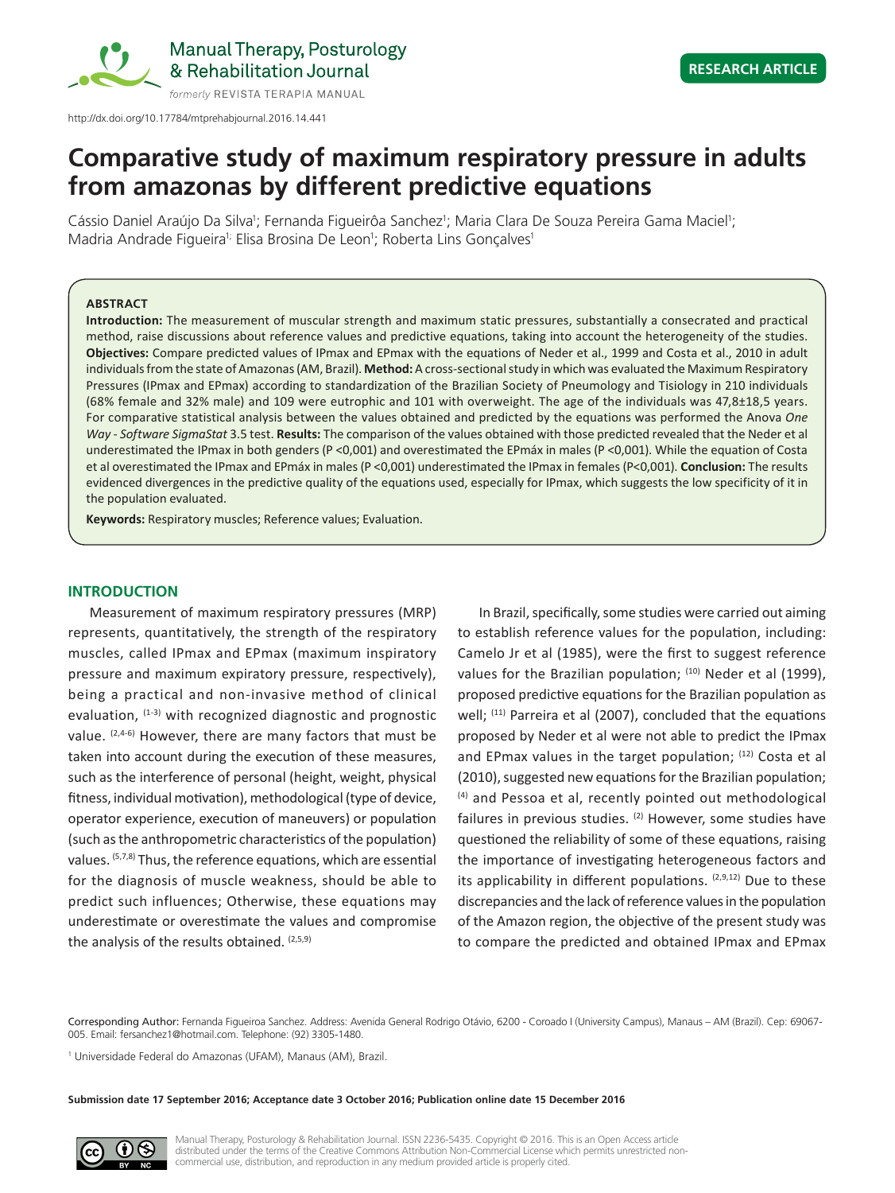

# **Comparative study of maximum respiratory pressure in adults**

Cássio Daniel Araújo Da Silva<sup>1</sup>; Fernanda Figueirôa Sanchez<sup>1</sup>; Maria Clara De Souza Pereira Gama Maciel<sup>1</sup>; Madria Andrade Figueira<sup>i;</sup> Elisa Brosina De Leon<sup>1</sup>; Roberta Lins Gonçalves<sup>1</sup>

**from amazonas by different predictive equations**

# **ABSTRACT**

**Introduction:** The measurement of muscular strength and maximum static pressures, substantially a consecrated and practical method, raise discussions about reference values and predictive equations, taking into account the heterogeneity of the studies. **Objectives:** Compare predicted values of IPmax and EPmax with the equations of Neder et al., 1999 and Costa et al., 2010 in adult individuals from the state of Amazonas (AM, Brazil). **Method:** A cross-sectional study in which was evaluated the Maximum Respiratory Pressures (IPmax and EPmax) according to standardization of the Brazilian Society of Pneumology and Tisiology in 210 individuals (68% female and 32% male) and 109 were eutrophic and 101 with overweight. The age of the individuals was 47,8±18,5 years. For comparative statistical analysis between the values obtained and predicted by the equations was performed the Anova *One Way* - *Software SigmaStat* 3.5 test. **Results:** The comparison of the values obtained with those predicted revealed that the Neder et al underestimated the IPmax in both genders (P <0,001) and overestimated the EPmáx in males (P <0,001). While the equation of Costa et al overestimated the IPmax and EPmáx in males (P <0,001) underestimated the IPmax in females (P<0,001). **Conclusion:** The results evidenced divergences in the predictive quality of the equations used, especially for IPmax, which suggests the low specificity of it in the population evaluated.

**Keywords:** Respiratory muscles; Reference values; Evaluation.

# **INTRODUCTION**

Measurement of maximum respiratory pressures (MRP) represents, quantitatively, the strength of the respiratory muscles, called IPmax and EPmax (maximum inspiratory pressure and maximum expiratory pressure, respectively), being a practical and non-invasive method of clinical evaluation,  $(1-3)$  with recognized diagnostic and prognostic value. (2,4-6) However, there are many factors that must be taken into account during the execution of these measures, such as the interference of personal (height, weight, physical fitness, individual motivation), methodological (type of device, operator experience, execution of maneuvers) or population (such as the anthropometric characteristics of the population) values. (5,7,8) Thus, the reference equations, which are essential for the diagnosis of muscle weakness, should be able to predict such influences; Otherwise, these equations may underestimate or overestimate the values and compromise the analysis of the results obtained.  $(2,5,9)$ 

In Brazil, specifically, some studies were carried out aiming to establish reference values for the population, including: Camelo Jr et al (1985), were the first to suggest reference values for the Brazilian population; (10) Neder et al (1999), proposed predictive equations for the Brazilian population as well; <sup>(11)</sup> Parreira et al (2007), concluded that the equations proposed by Neder et al were not able to predict the IPmax and EPmax values in the target population; (12) Costa et al (2010), suggested new equations for the Brazilian population; (4) and Pessoa et al, recently pointed out methodological failures in previous studies.  $(2)$  However, some studies have questioned the reliability of some of these equations, raising the importance of investigating heterogeneous factors and its applicability in different populations.  $(2,9,12)$  Due to these discrepancies and the lack of reference values in the population of the Amazon region, the objective of the present study was to compare the predicted and obtained IPmax and EPmax

Corresponding Author: Fernanda Figueiroa Sanchez. Address: Avenida General Rodrigo Otávio, 6200 - Coroado I (University Campus), Manaus – AM (Brazil). Cep: 69067- 005. Email: fersanchez1@hotmail.com. Telephone: (92) 3305-1480.

<sup>1</sup> Universidade Federal do Amazonas (UFAM), Manaus (AM), Brazil.

**Submission date 17 September 2016; Acceptance date 3 October 2016; Publication online date 15 December 2016**

Manual Therapy, Posturology & Rehabilitation Journal. ISSN 2236-5435. Copyright © 2016. This is an Open Access article distributed under the terms of the Creative Commons Attribution Non-Commercial License which permits unrestricted noncommercial use, distribution, and reproduction in any medium provided article is properly cited.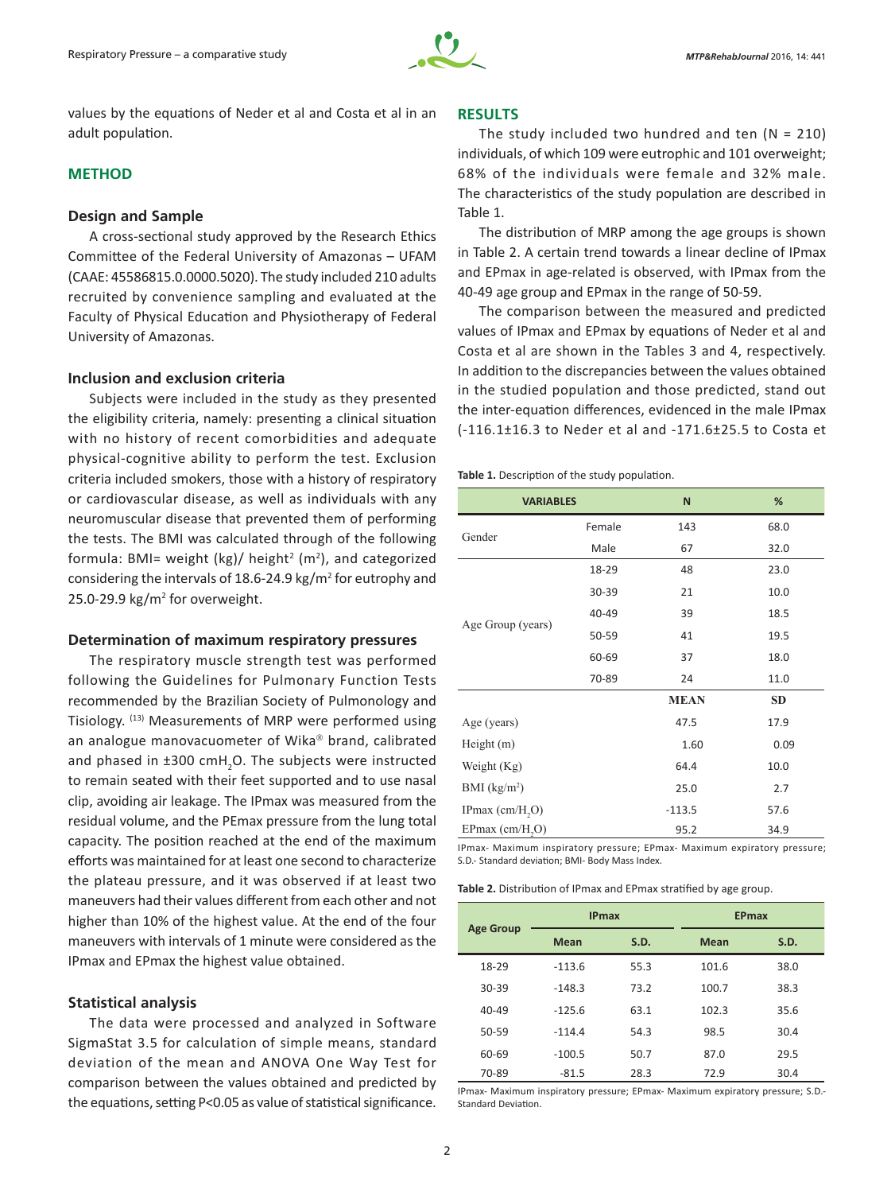

values by the equations of Neder et al and Costa et al in an adult population.

# **METHOD**

# **Design and Sample**

A cross-sectional study approved by the Research Ethics Committee of the Federal University of Amazonas – UFAM (CAAE: 45586815.0.0000.5020). The study included 210 adults recruited by convenience sampling and evaluated at the Faculty of Physical Education and Physiotherapy of Federal University of Amazonas.

# **Inclusion and exclusion criteria**

Subjects were included in the study as they presented the eligibility criteria, namely: presenting a clinical situation with no history of recent comorbidities and adequate physical-cognitive ability to perform the test. Exclusion criteria included smokers, those with a history of respiratory or cardiovascular disease, as well as individuals with any neuromuscular disease that prevented them of performing the tests. The BMI was calculated through of the following formula: BMI= weight (kg)/ height<sup>2</sup> (m<sup>2</sup>), and categorized considering the intervals of 18.6-24.9  $\text{kg/m}^2$  for eutrophy and  $25.0 - 29.9$  kg/m<sup>2</sup> for overweight.

# **Determination of maximum respiratory pressures**

The respiratory muscle strength test was performed following the Guidelines for Pulmonary Function Tests recommended by the Brazilian Society of Pulmonology and Tisiology. (13) Measurements of MRP were performed using an analogue manovacuometer of Wika $\textdegree$  brand, calibrated and phased in  $\pm 300 \text{ cm}$ H<sub>2</sub>O. The subjects were instructed to remain seated with their feet supported and to use nasal clip, avoiding air leakage. The IPmax was measured from the residual volume, and the PEmax pressure from the lung total capacity. The position reached at the end of the maximum efforts was maintained for at least one second to characterize the plateau pressure, and it was observed if at least two maneuvers had their values different from each other and not higher than 10% of the highest value. At the end of the four maneuvers with intervals of 1 minute were considered as the IPmax and EPmax the highest value obtained.

# **Statistical analysis**

The data were processed and analyzed in Software SigmaStat 3.5 for calculation of simple means, standard deviation of the mean and ANOVA One Way Test for comparison between the values obtained and predicted by the equations, setting P<0.05 as value of statistical significance.

# **RESULTS**

The study included two hundred and ten  $(N = 210)$ individuals, of which 109 were eutrophic and 101 overweight; 68% of the individuals were female and 32% male. The characteristics of the study population are described in Table 1.

The distribution of MRP among the age groups is shown in Table 2. A certain trend towards a linear decline of IPmax and EPmax in age-related is observed, with IPmax from the 40-49 age group and EPmax in the range of 50-59.

The comparison between the measured and predicted values of IPmax and EPmax by equations of Neder et al and Costa et al are shown in the Tables 3 and 4, respectively. In addition to the discrepancies between the values obtained in the studied population and those predicted, stand out the inter-equation differences, evidenced in the male IPmax (-116.1±16.3 to Neder et al and -171.6±25.5 to Costa et

**Table 1.** Description of the study population.

| <b>VARIABLES</b>              |        | N           | %         |
|-------------------------------|--------|-------------|-----------|
|                               | Female | 143         | 68.0      |
| Gender                        | Male   | 67          | 32.0      |
|                               | 18-29  | 48          | 23.0      |
|                               | 30-39  | 21          | 10.0      |
| Age Group (years)             | 40-49  | 39          | 18.5      |
|                               | 50-59  | 41          | 19.5      |
|                               | 60-69  | 37          | 18.0      |
|                               | 70-89  | 24          | 11.0      |
|                               |        | <b>MEAN</b> | <b>SD</b> |
| Age (years)                   |        | 47.5        | 17.9      |
| Height(m)                     |        | 1.60        | 0.09      |
| Weight (Kg)                   |        | 64.4        | 10.0      |
| $BMI$ (kg/m <sup>2</sup> )    |        | 25.0        | 2.7       |
| IPmax $\text{(cm/H, O)}$      |        | $-113.5$    | 57.6      |
| $EPmax$ (cm/H <sub>2</sub> O) |        | 95.2        | 34.9      |

IPmax- Maximum inspiratory pressure; EPmax- Maximum expiratory pressure; S.D.- Standard deviation; BMI- Body Mass Index.

**Table 2.** Distribution of IPmax and EPmax stratified by age group.

| <b>Age Group</b> | <b>IPmax</b> |      | <b>EPmax</b> |      |
|------------------|--------------|------|--------------|------|
|                  | <b>Mean</b>  | S.D. | <b>Mean</b>  | S.D. |
| 18-29            | $-113.6$     | 55.3 | 101.6        | 38.0 |
| 30-39            | $-148.3$     | 73.2 | 100.7        | 38.3 |
| $40 - 49$        | $-125.6$     | 63.1 | 102.3        | 35.6 |
| $50 - 59$        | $-114.4$     | 54.3 | 98.5         | 30.4 |
| 60-69            | $-100.5$     | 50.7 | 87.0         | 29.5 |
| 70-89            | $-81.5$      | 28.3 | 72.9         | 30.4 |

IPmax- Maximum inspiratory pressure; EPmax- Maximum expiratory pressure; S.D.- Standard Deviation.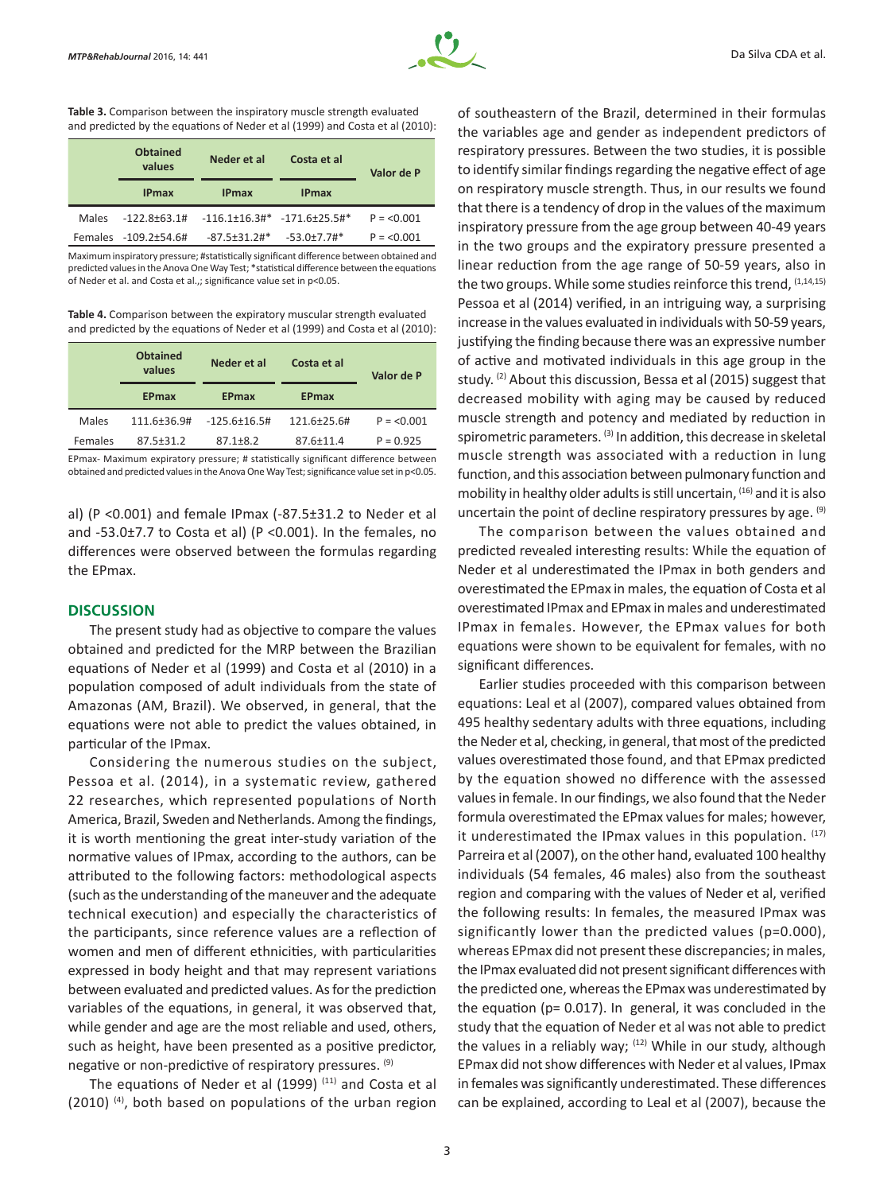

**Table 3.** Comparison between the inspiratory muscle strength evaluated and predicted by the equations of Neder et al (1999) and Costa et al (2010):

|       | <b>Obtained</b><br>values | Neder et al         | Costa et al                           | Valor de P  |
|-------|---------------------------|---------------------|---------------------------------------|-------------|
|       | <b>IPmax</b>              | <b>IPmax</b>        | <b>IPmax</b>                          |             |
| Males | $-122.8+63.1#$            |                     | $-116.1\pm16.3$ #* $-171.6\pm25.5$ #* | $P = 0.001$ |
|       | Females -109.2±54.6#      | $-87.5 \pm 31.2$ #* | $-53.0+7.7$ #*                        | $P = 0.001$ |

Maximum inspiratory pressure; #statistically significant difference between obtained and predicted values in the Anova One Way Test; \*statistical difference between the equations of Neder et al. and Costa et al.,; significance value set in p<0.05.

**Table 4.** Comparison between the expiratory muscular strength evaluated and predicted by the equations of Neder et al (1999) and Costa et al (2010):

|         | <b>Obtained</b><br>values | Neder et al         | Costa et al  | Valor de P  |
|---------|---------------------------|---------------------|--------------|-------------|
|         | <b>EPmax</b>              | <b>EPmax</b>        | <b>EPmax</b> |             |
| Males   | $111.6 \pm 36.9 \text{#}$ | $-125.6 \pm 16.5$ # | 121.6+25.6#  | $P = 0.001$ |
| Females | $87.5 + 31.2$             | $87.1 + 8.2$        | 87.6±11.4    | $P = 0.925$ |

EPmax- Maximum expiratory pressure; # statistically significant difference between obtained and predicted values in the Anova One Way Test; significance value set in p<0.05.

al) (P <0.001) and female IPmax (-87.5±31.2 to Neder et al and -53.0±7.7 to Costa et al) (P <0.001). In the females, no differences were observed between the formulas regarding the EPmax.

# **DISCUSSION**

The present study had as objective to compare the values obtained and predicted for the MRP between the Brazilian equations of Neder et al (1999) and Costa et al (2010) in a population composed of adult individuals from the state of Amazonas (AM, Brazil). We observed, in general, that the equations were not able to predict the values obtained, in particular of the IPmax.

Considering the numerous studies on the subject, Pessoa et al. (2014), in a systematic review, gathered 22 researches, which represented populations of North America, Brazil, Sweden and Netherlands. Among the findings, it is worth mentioning the great inter-study variation of the normative values of IPmax, according to the authors, can be attributed to the following factors: methodological aspects (such as the understanding of the maneuver and the adequate technical execution) and especially the characteristics of the participants, since reference values are a reflection of women and men of different ethnicities, with particularities expressed in body height and that may represent variations between evaluated and predicted values. As for the prediction variables of the equations, in general, it was observed that, while gender and age are the most reliable and used, others, such as height, have been presented as a positive predictor, negative or non-predictive of respiratory pressures. <sup>(9)</sup>

The equations of Neder et al (1999)  $(11)$  and Costa et al  $(2010)$  <sup>(4)</sup>, both based on populations of the urban region of southeastern of the Brazil, determined in their formulas the variables age and gender as independent predictors of respiratory pressures. Between the two studies, it is possible to identify similar findings regarding the negative effect of age on respiratory muscle strength. Thus, in our results we found that there is a tendency of drop in the values of the maximum inspiratory pressure from the age group between 40-49 years in the two groups and the expiratory pressure presented a linear reduction from the age range of 50-59 years, also in the two groups. While some studies reinforce this trend, (1,14,15) Pessoa et al (2014) verified, in an intriguing way, a surprising increase in the values evaluated in individuals with 50-59 years, justifying the finding because there was an expressive number of active and motivated individuals in this age group in the study. <sup>(2)</sup> About this discussion, Bessa et al (2015) suggest that decreased mobility with aging may be caused by reduced muscle strength and potency and mediated by reduction in spirometric parameters. (3) In addition, this decrease in skeletal muscle strength was associated with a reduction in lung function, and this association between pulmonary function and mobility in healthy older adults is still uncertain, (16) and it is also uncertain the point of decline respiratory pressures by age. (9)

The comparison between the values obtained and predicted revealed interesting results: While the equation of Neder et al underestimated the IPmax in both genders and overestimated the EPmax in males, the equation of Costa et al overestimated IPmax and EPmax in males and underestimated IPmax in females. However, the EPmax values for both equations were shown to be equivalent for females, with no significant differences.

Earlier studies proceeded with this comparison between equations: Leal et al (2007), compared values obtained from 495 healthy sedentary adults with three equations, including the Neder et al, checking, in general, that most of the predicted values overestimated those found, and that EPmax predicted by the equation showed no difference with the assessed values in female. In our findings, we also found that the Neder formula overestimated the EPmax values for males; however, it underestimated the IPmax values in this population. (17) Parreira et al (2007), on the other hand, evaluated 100 healthy individuals (54 females, 46 males) also from the southeast region and comparing with the values of Neder et al, verified the following results: In females, the measured IPmax was significantly lower than the predicted values (p=0.000), whereas EPmax did not present these discrepancies; in males, the IPmax evaluated did not present significant differences with the predicted one, whereas the EPmax was underestimated by the equation (p= 0.017). In general, it was concluded in the study that the equation of Neder et al was not able to predict the values in a reliably way;  $(12)$  While in our study, although EPmax did not show differences with Neder et al values, IPmax in females was significantly underestimated. These differences can be explained, according to Leal et al (2007), because the